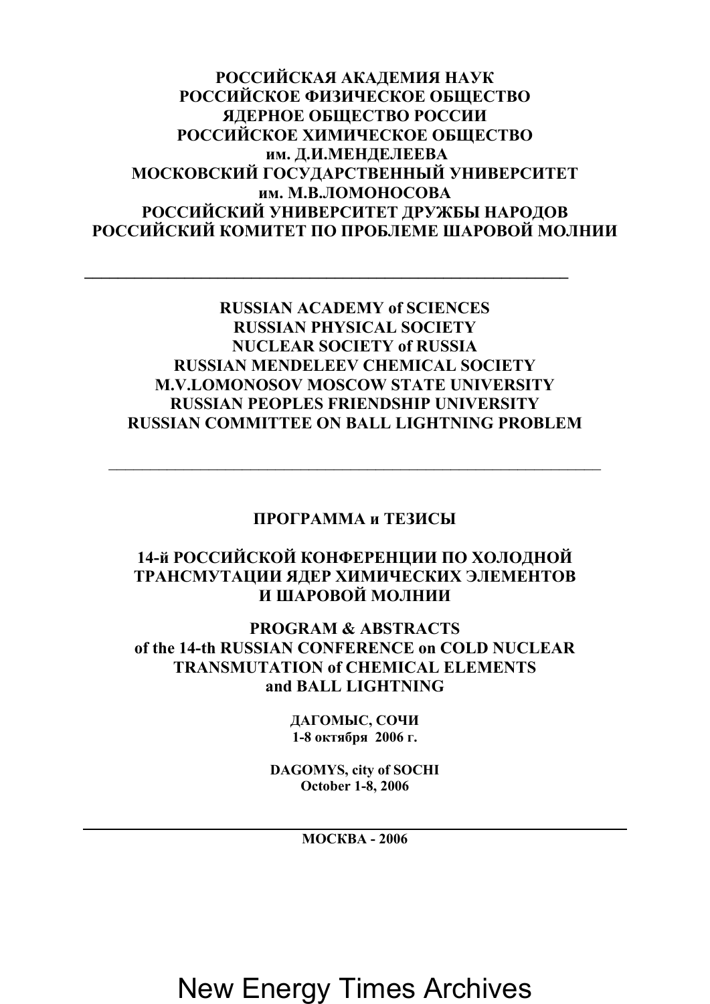**РОССИЙСКАЯ АКАДЕМИЯ НАУК РОССИЙСКОЕ ФИЗИЧЕСКОЕ ОБЩЕСТВО ЯДЕРНОЕ ОБЩЕСТВО РОССИИ РОССИЙСКОЕ ХИМИЧЕСКОЕ ОБЩЕСТВО им. Д.И.МЕНДЕЛЕЕВА МОСКОВСКИЙ ГОСУДАРСТВЕННЫЙ УНИВЕРСИТЕТ им. М.В.ЛОМОНОСОВА РОССИЙСКИЙ УНИВЕРСИТЕТ ДРУЖБЫ НАРОДОВ РОССИЙСКИЙ КОМИТЕТ ПО ПРОБЛЕМЕ ШАРОВОЙ МОЛНИИ**

#### **RUSSIAN ACADEMY of SCIENCES RUSSIAN PHYSICAL SOCIETY NUCLEAR SOCIETY of RUSSIA RUSSIAN MENDELEEV CHEMICAL SOCIETY M.V.LOMONOSOV MOSCOW STATE UNIVERSITY RUSSIAN PEOPLES FRIENDSHIP UNIVERSITY RUSSIAN COMMITTEE ON BALL LIGHTNING PROBLEM**

#### **ПРОГРАММА и ТЕЗИСЫ**

 $\_$ 

#### **14-й РОССИЙСКОЙ КОНФЕРЕНЦИИ ПО ХОЛОДНОЙ ТРАНСМУТАЦИИ ЯДЕР ХИМИЧЕСКИХ ЭЛЕМЕНТОВ И ШАРОВОЙ МОЛНИИ**

**PROGRAM & ABSTRACTS of the 14-th RUSSIAN CONFERENCE on COLD NUCLEAR TRANSMUTATION of CHEMICAL ELEMENTS and BALL LIGHTNING** 

> **ДАГОМЫС, СОЧИ 1-8 октября 2006 г.**

**DAGOMYS, city of SOCHI October 1-8, 2006**

**МОСКВА - 2006**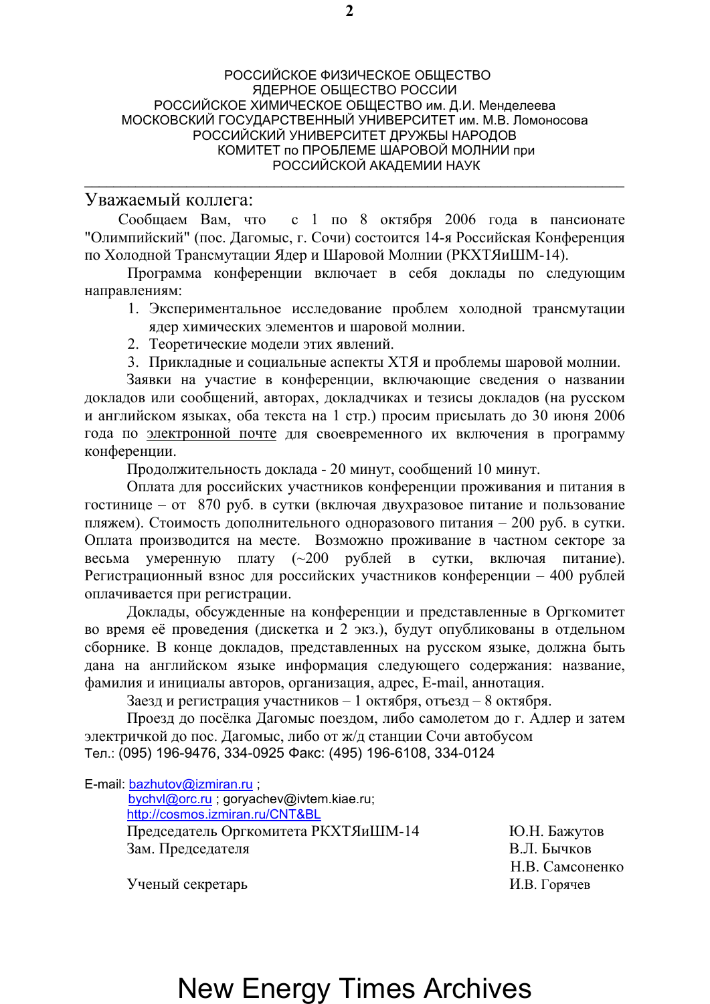#### РОССИЙСКОЕ ФИЗИЧЕСКОЕ ОБЩЕСТВО ЯДЕРНОЕ ОБЩЕСТВО РОССИИ РОССИЙСКОЕ ХИМИЧЕСКОЕ ОБЩЕСТВО им. Д.И. Менделеева МОСКОВСКИЙ ГОСУДАРСТВЕННЫЙ УНИВЕРСИТЕТ им. М.В. Ломоносова РОССИЙСКИЙ УНИВЕРСИТЕТ ДРУЖБЫ НАРОДОВ КОМИТЕТ по ПРОБЛЕМЕ ШАРОВОЙ МОЛНИИ при РОССИЙСКОЙ АКАДЕМИИ НАУК

#### Уважаемый коллега:

Сообщаем Вам, что с 1 по 8 октября 2006 года в пансионате "Олимпийский" (пос. Дагомыс, г. Сочи) состоится 14-я Российская Конференция по Холодной Трансмутации Ядер и Шаровой Молнии (РКХТЯиШМ-14).

\_\_\_\_\_\_\_\_\_\_\_\_\_\_\_\_\_\_\_\_\_\_\_\_\_\_\_\_\_\_\_\_\_\_\_\_\_\_\_\_\_\_\_\_\_\_\_\_\_\_\_\_\_\_\_\_\_\_\_\_\_\_\_\_\_\_\_\_\_\_\_\_\_\_

Программа конференции включает в себя доклады по следующим направлениям:

- 1. Экспериментальное исследование проблем холодной трансмутации ядер химических элементов и шаровой молнии.
- 2. Теоретические модели этих явлений.
- 3. Прикладные и социальные аспекты ХТЯ и проблемы шаровой молнии.

Заявки на участие в конференции, включающие сведения о названии докладов или сообщений, авторах, докладчиках и тезисы докладов (на русском и английском языках, оба текста на 1 стр.) просим присылать до 30 июня 2006 года по электронной почте для своевременного их включения в программу конференции.

Продолжительность доклада - 20 минут, сообщений 10 минут.

Оплата для российских участников конференции проживания и питания в гостинице – от 870 руб. в сутки (включая двухразовое питание и пользование пляжем). Стоимость дополнительного одноразового питания – 200 руб. в сутки. Оплата производится на месте. Возможно проживание в частном секторе за весьма умеренную плату (~200 рублей в сутки, включая питание). Регистрационный взнос для российских участников конференции – 400 рублей оплачивается при регистрации.

Доклады, обсужденные на конференции и представленные в Оргкомитет во время её проведения (дискетка и 2 экз.), будут опубликованы в отдельном сборнике. В конце докладов, представленных на русском языке, должна быть дана на английском языке информация следующего содержания: название, фамилия и инициалы авторов, организация, адрес, E-mail, аннотация.

Заезд и регистрация участников – 1 октября, отъезд – 8 октября.

Проезд до посёлка Дагомыс поездом, либо самолетом до г. Адлер и затем электричкой до пос. Дагомыс, либо от ж/д станции Сочи автобусом Тел.: (095) 196-9476, 334-0925 Факс: (495) 196-6108, 334-0124

E-mail: [bazhutov@izmiran.ru](mailto:bazhutov@izmiran.ru) ;

 [bychvl@orc.ru](mailto:bychvl@orc.ru) ; goryachev@ivtem[.k](http://cosmos.izmiran.ru/CNT&BL)iae.ru; <http://cosmos.izmiran.ru/CNT&BL> Председатель Оргкомитета РКХТЯиШМ-14 Ю.Н. Бажутов Зам. Председателя В.Л. Бычков

Н.В. Самсоненко

Ученый секретарь И.В. Горячев

### **2**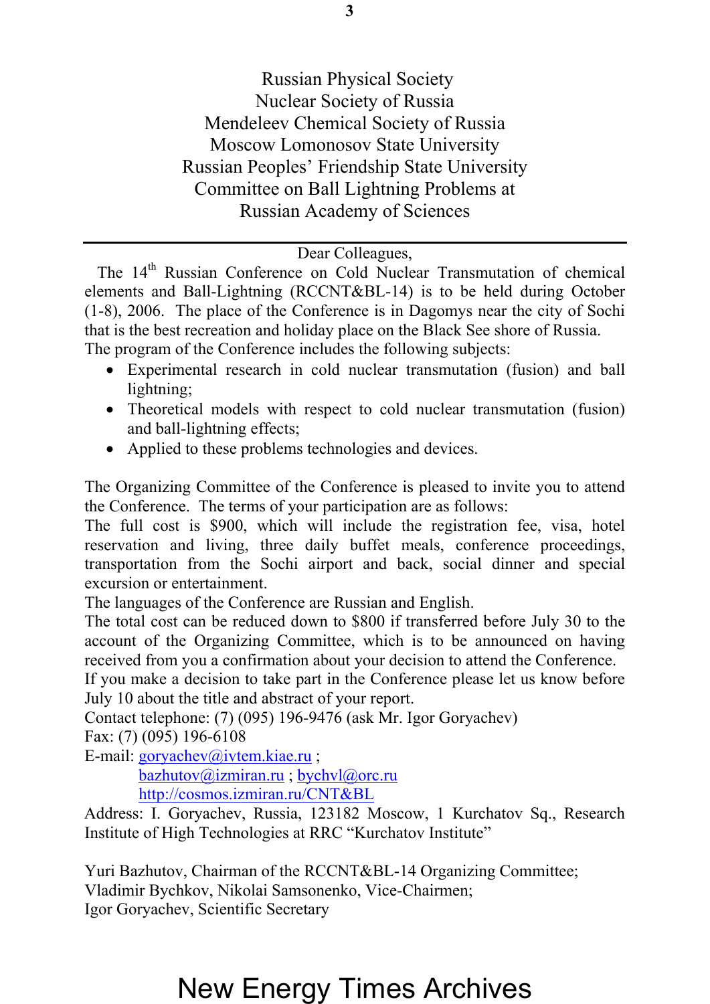Russian Physical Society Nuclear Society of Russia Mendeleev Chemical Society of Russia Moscow Lomonosov State University Russian Peoples' Friendship State University Committee on Ball Lightning Problems at Russian Academy of Sciences

#### Dear Colleagues,

The 14<sup>th</sup> Russian Conference on Cold Nuclear Transmutation of chemical elements and Ball-Lightning (RCCNT&BL-14) is to be held during October (1-8), 2006. The place of the Conference is in Dagomys near the city of Sochi that is the best recreation and holiday place on the Black See shore of Russia. The program of the Conference includes the following subjects:

- Experimental research in cold nuclear transmutation (fusion) and ball lightning;
- Theoretical models with respect to cold nuclear transmutation (fusion) and ball-lightning effects;
- Applied to these problems technologies and devices.

The Organizing Committee of the Conference is pleased to invite you to attend the Conference. The terms of your participation are as follows:

The full cost is \$900, which will include the registration fee, visa, hotel reservation and living, three daily buffet meals, conference proceedings, transportation from the Sochi airport and back, social dinner and special excursion or entertainment.

The languages of the Conference are Russian and English.

The total cost can be reduced down to \$800 if transferred before July 30 to the account of the Organizing Committee, which is to be announced on having received from you a confirmation about your decision to attend the Conference.

If you make a decision to take part in the Conference please let us know before July 10 about the title and abstract of your report.

Contact telephone: (7) (095) 196-9476 (ask Mr. Igor Goryachev) Fax: (7) (095) 196-6108

E-mail: [goryachev@ivtem.kiae.ru](mailto:goryachev@ivtem.kiae.ru) ;

 [bazhutov@izmiran.ru](mailto:bazhutov@izmiran.ru) ; [bychvl@orc.ru](mailto:bychvl@orc.ru) <http://cosmos.izmiran.ru/CNT&BL>

 Address: I. Goryachev, Russia, 123182 Moscow, 1 Kurchatov Sq., Research Institute of High Technologies at RRC "Kurchatov Institute"

Yuri Bazhutov, Chairman of the RCCNT&BL-14 Organizing Committee; Vladimir Bychkov, Nikolai Samsonenko, Vice-Chairmen; Igor Goryachev, Scientific Secretary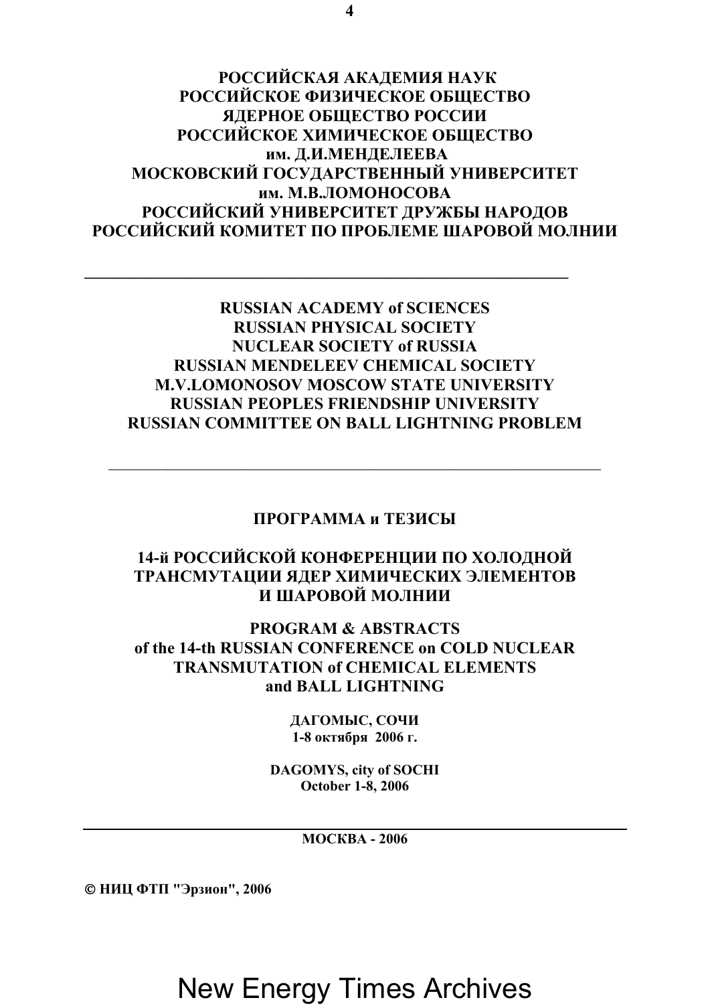**РОССИЙСКАЯ АКАДЕМИЯ НАУК РОССИЙСКОЕ ФИЗИЧЕСКОЕ ОБЩЕСТВО ЯДЕРНОЕ ОБЩЕСТВО РОССИИ РОССИЙСКОЕ ХИМИЧЕСКОЕ ОБЩЕСТВО им. Д.И.МЕНДЕЛЕЕВА МОСКОВСКИЙ ГОСУДАРСТВЕННЫЙ УНИВЕРСИТЕТ им. М.В.ЛОМОНОСОВА РОССИЙСКИЙ УНИВЕРСИТЕТ ДРУЖБЫ НАРОДОВ РОССИЙСКИЙ КОМИТЕТ ПО ПРОБЛЕМЕ ШАРОВОЙ МОЛНИИ**

#### **RUSSIAN ACADEMY of SCIENCES RUSSIAN PHYSICAL SOCIETY NUCLEAR SOCIETY of RUSSIA RUSSIAN MENDELEEV CHEMICAL SOCIETY M.V.LOMONOSOV MOSCOW STATE UNIVERSITY RUSSIAN PEOPLES FRIENDSHIP UNIVERSITY RUSSIAN COMMITTEE ON BALL LIGHTNING PROBLEM**

#### **ПРОГРАММА и ТЕЗИСЫ**

 $\_$ 

#### **14-й РОССИЙСКОЙ КОНФЕРЕНЦИИ ПО ХОЛОДНОЙ ТРАНСМУТАЦИИ ЯДЕР ХИМИЧЕСКИХ ЭЛЕМЕНТОВ И ШАРОВОЙ МОЛНИИ**

**PROGRAM & ABSTRACTS of the 14-th RUSSIAN CONFERENCE on COLD NUCLEAR TRANSMUTATION of CHEMICAL ELEMENTS and BALL LIGHTNING** 

> **ДАГОМЫС, СОЧИ 1-8 октября 2006 г.**

**DAGOMYS, city of SOCHI October 1-8, 2006**

**МОСКВА - 2006** 

© **НИЦ ФТП "Эрзион", 2006**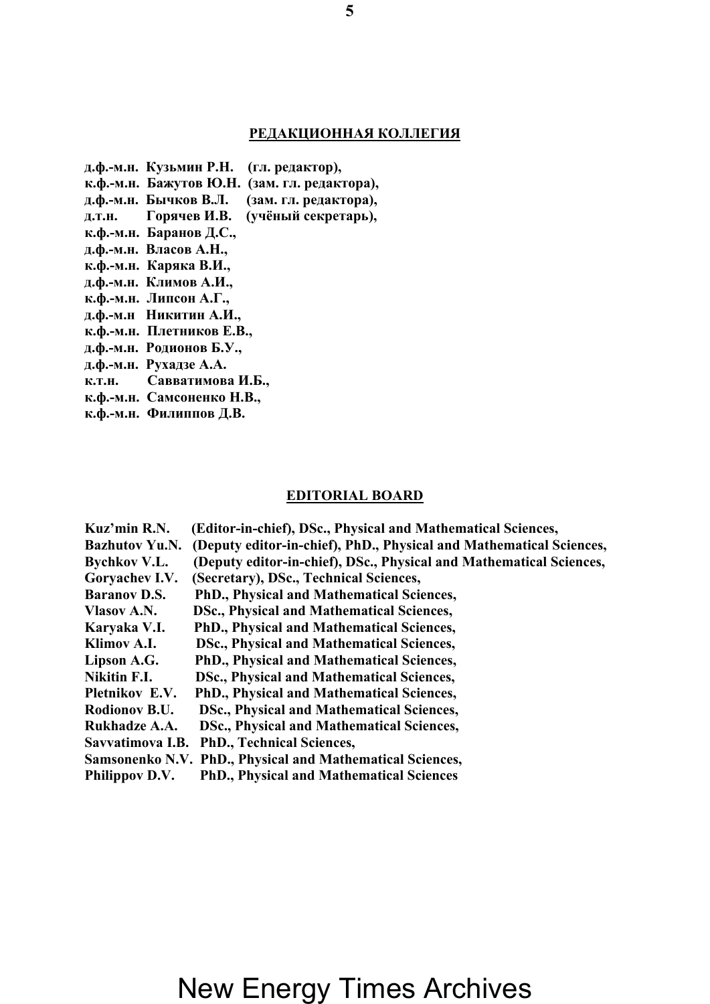#### **РЕДАКЦИОННАЯ КОЛЛЕГИЯ**

- **д.ф.-м.н. Кузьмин Р.Н. (гл. редактор),**
- **к.ф.-м.н. Бажутов Ю.Н. (зам. гл. редактора),**
- **д.ф.-м.н. Бычков В.Л. (зам. гл. редактора),**
- **д.т.н. Горячев И.В. (учёный секретарь),**
- **к.ф.-м.н. Баранов Д.С.,**
- **д.ф.-м.н. Власов А.Н.,**
- **к.ф.-м.н. Каряка В.И.,**
- **д.ф.-м.н. Климов А.И.,**
- **к.ф.-м.н. Липсон А.Г.,**
- **д.ф.-м.н Никитин А.И.,**
- **к.ф.-м.н. Плетников Е.В.,**
- **д.ф.-м.н. Родионов Б.У.,**
- **д.ф.-м.н. Рухадзе А.А.**
- **к.т.н. Савватимова И.Б.,**
- **к.ф.-м.н. Самсоненко Н.В.,**
- **к.ф.-м.н. Филиппов Д.В.**

#### **EDITORIAL BOARD**

| Kuz'min R.N.          | (Editor-in-chief), DSc., Physical and Mathematical Sciences,        |
|-----------------------|---------------------------------------------------------------------|
| <b>Bazhutov Yu.N.</b> | (Deputy editor-in-chief), PhD., Physical and Mathematical Sciences, |
| <b>Bychkov V.L.</b>   | (Deputy editor-in-chief), DSc., Physical and Mathematical Sciences, |
| Goryachev I.V.        | (Secretary), DSc., Technical Sciences,                              |
| <b>Baranov D.S.</b>   | PhD., Physical and Mathematical Sciences,                           |
| Vlasov A.N.           | DSc., Physical and Mathematical Sciences,                           |
| Karyaka V.I.          | PhD., Physical and Mathematical Sciences,                           |
| Klimov A.I.           | DSc., Physical and Mathematical Sciences,                           |
| Lipson A.G.           | PhD., Physical and Mathematical Sciences,                           |
| Nikitin F.I.          | DSc., Physical and Mathematical Sciences,                           |
| <b>Pletnikov E.V.</b> | PhD., Physical and Mathematical Sciences,                           |
| Rodionov B.U.         | DSc., Physical and Mathematical Sciences,                           |
| Rukhadze A.A.         | DSc., Physical and Mathematical Sciences,                           |
|                       | Savvatimova I.B. PhD., Technical Sciences,                          |
|                       | Samsonenko N.V. PhD., Physical and Mathematical Sciences,           |
|                       |                                                                     |

**Philippov D.V. PhD., Physical and Mathematical Sciences**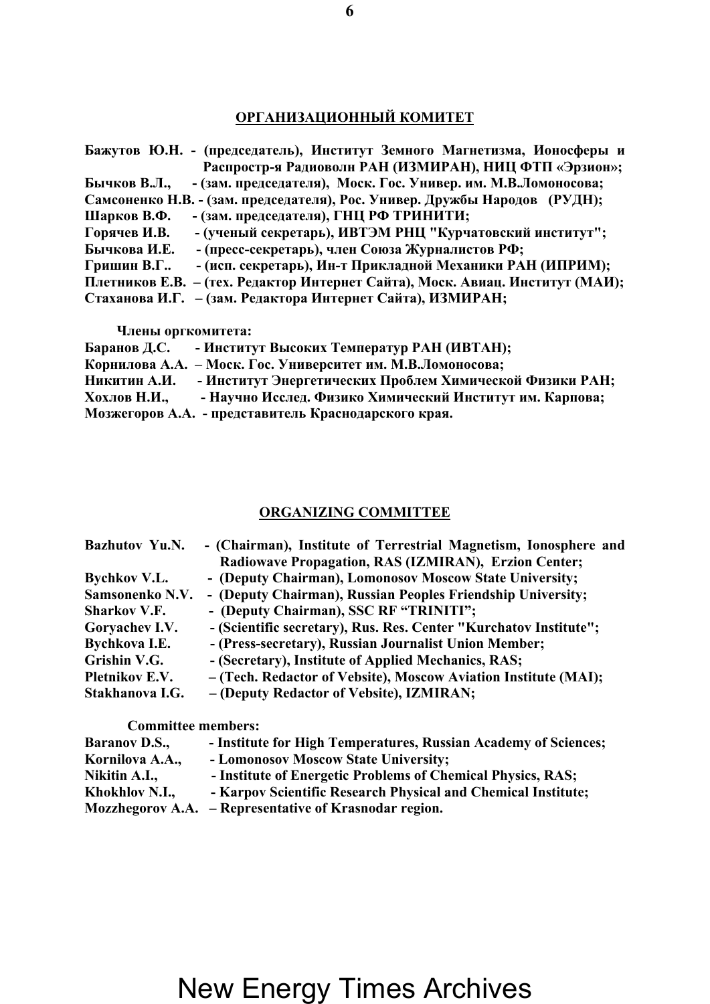### **ОРГАНИЗАЦИОННЫЙ КОМИТЕТ**

| Бажутов Ю.Н. - (председатель), Институт Земного Магнетизма, Ионосферы и       |
|-------------------------------------------------------------------------------|
| Распростр-я Радиоволн РАН (ИЗМИРАН), НИЦ ФТП «Эрзион»;                        |
| - (зам. председателя), Моск. Гос. Универ. им. М.В.Ломоносова;<br>Бычков В.Л., |
| Самсоненко Н.В. - (зам. председателя), Рос. Универ. Дружбы Народов (РУДН);    |
| - (зам. председателя), ГНЦ РФ ТРИНИТИ;<br>Шарков В.Ф.                         |
| - (ученый секретарь), ИВТЭМ РНЦ "Курчатовский институт";<br>Горячев И.В.      |
| - (пресс-секретарь), член Союза Журналистов РФ;<br>Бычкова И.Е.               |
| - (исп. секретарь), Ин-т Прикладной Механики РАН (ИПРИМ);<br>Гришин В.Г       |
| Плетников Е.В. - (тех. Редактор Интернет Сайта), Моск. Авиац. Институт (МАИ); |
| Стаханова И.Г. - (зам. Редактора Интернет Сайта), ИЗМИРАН;                    |

 **Члены оргкомитета:** 

| Баранов Д.С. | - Институт Высоких Температур РАН (ИВТАН);                  |
|--------------|-------------------------------------------------------------|
|              | Корнилова А.А. - Моск. Гос. Университет им. М.В.Ломоносова; |
| Никитин А.И. | - Институт Энергетических Проблем Химической Физики РАН;    |
| Хохлов Н.И., | - Научно Исслед. Физико Химический Институт им. Карпова;    |
|              | Мозжегоров А.А. - представитель Краснодарского края.        |

#### **ORGANIZING COMMITTEE**

| <b>Bazhutov Yu.N.</b> | - (Chairman), Institute of Terrestrial Magnetism, Ionosphere and  |
|-----------------------|-------------------------------------------------------------------|
|                       | Radiowave Propagation, RAS (IZMIRAN), Erzion Center;              |
| <b>Bychkov V.L.</b>   | - (Deputy Chairman), Lomonosov Moscow State University;           |
| Samsonenko N.V.       | - (Deputy Chairman), Russian Peoples Friendship University;       |
| <b>Sharkov V.F.</b>   | - (Deputy Chairman), SSC RF "TRINITI";                            |
| Goryachev I.V.        | - (Scientific secretary), Rus. Res. Center "Kurchatov Institute"; |
| Bychkova I.E.         | - (Press-secretary), Russian Journalist Union Member;             |
| Grishin V.G.          | - (Secretary), Institute of Applied Mechanics, RAS;               |
| <b>Pletnikov E.V.</b> | - (Tech. Redactor of Vebsite), Moscow Aviation Institute (MAI);   |
| Stakhanova I.G.       | - (Deputy Redactor of Vebsite), IZMIRAN;                          |
|                       |                                                                   |

 **Committee members:** 

| <b>Baranov D.S.,</b> | - Institute for High Temperatures, Russian Academy of Sciences; |
|----------------------|-----------------------------------------------------------------|
| Kornilova A.A.,      | - Lomonosov Moscow State University;                            |
| Nikitin A.I.,        | - Institute of Energetic Problems of Chemical Physics, RAS;     |
| Khokhlov N.I.        | - Karpov Scientific Research Physical and Chemical Institute;   |
|                      | Mozzhegorov A.A. – Representative of Krasnodar region.          |

#### **6**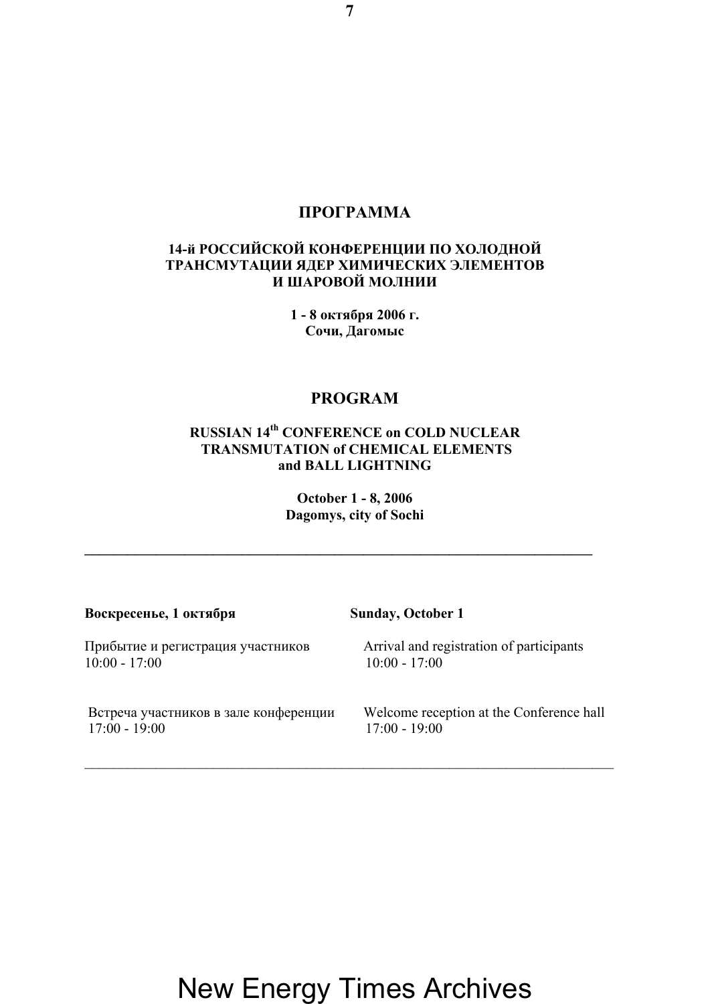#### **ПРОГРАММА**

#### **14-й РОССИЙСКОЙ КОНФЕРЕНЦИИ ПО ХОЛОДНОЙ ТРАНСМУТАЦИИ ЯДЕР ХИМИЧЕСКИХ ЭЛЕМЕНТОВ И ШАРОВОЙ МОЛНИИ**

**1 - 8 октября 2006 г. Сочи, Дагомыс**

#### **PROGRAM**

#### **RUSSIAN 14th CONFERENCE on COLD NUCLEAR TRANSMUTATION of CHEMICAL ELEMENTS and BALL LIGHTNING**

**October 1 - 8, 2006 Dagomys, city of Sochi** 

**\_\_\_\_\_\_\_\_\_\_\_\_\_\_\_\_\_\_\_\_\_\_\_\_\_\_\_\_\_\_\_\_\_\_\_\_\_\_\_\_\_\_\_\_\_\_\_\_\_\_\_\_\_\_\_\_\_\_\_\_\_\_\_\_\_\_\_\_\_\_\_** 

| Воскресенье, 1 октября                | <b>Sunday, October 1</b>                 |
|---------------------------------------|------------------------------------------|
| Прибытие и регистрация участников     | Arrival and registration of participants |
| $10:00 - 17:00$                       | $10:00 - 17:00$                          |
| Встреча участников в зале конференции | Welcome reception at the Conference hall |
| $17:00 - 19:00$                       | $17:00 - 19:00$                          |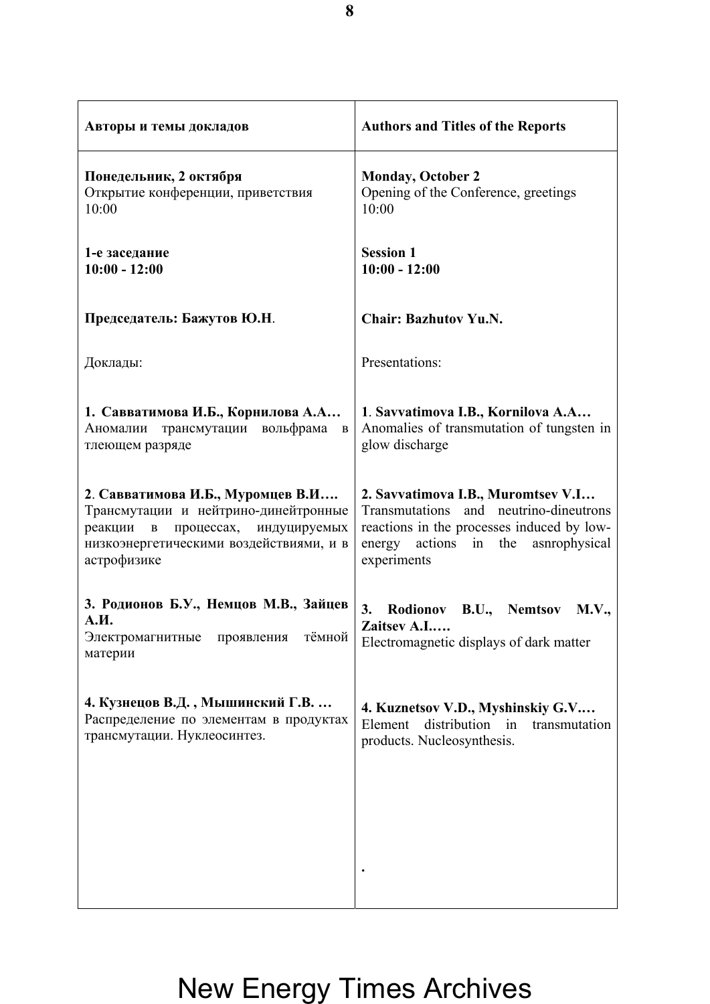| Авторы и темы докладов                                                                                                                                                         | <b>Authors and Titles of the Reports</b>                                                                                                                                                  |
|--------------------------------------------------------------------------------------------------------------------------------------------------------------------------------|-------------------------------------------------------------------------------------------------------------------------------------------------------------------------------------------|
| Понедельник, 2 октября<br>Открытие конференции, приветствия<br>10:00                                                                                                           | <b>Monday, October 2</b><br>Opening of the Conference, greetings<br>10:00                                                                                                                 |
| 1-е заседание<br>$10:00 - 12:00$                                                                                                                                               | <b>Session 1</b><br>$10:00 - 12:00$                                                                                                                                                       |
| Председатель: Бажутов Ю.Н.                                                                                                                                                     | <b>Chair: Bazhutov Yu.N.</b>                                                                                                                                                              |
| Доклады:                                                                                                                                                                       | Presentations:                                                                                                                                                                            |
| 1. Савватимова И.Б., Корнилова А.А<br>трансмутации вольфрама<br>Аномалии<br>$\, {\bf B}$<br>тлеющем разряде                                                                    | 1. Savvatimova I.B., Kornilova A.A<br>Anomalies of transmutation of tungsten in<br>glow discharge                                                                                         |
| 2. Савватимова И.Б., Муромцев В.И<br>Трансмутации и нейтрино-динейтронные<br>процессах, индуцируемых<br>реакции<br>B<br>низкоэнергетическими воздействиями, и в<br>астрофизике | 2. Savvatimova I.B., Muromtsev V.I<br>Transmutations<br>and neutrino-dineutrons<br>reactions in the processes induced by low-<br>actions<br>energy<br>in the ashrophysical<br>experiments |
| 3. Родионов Б.У., Немцов М.В., Зайцев<br>А.И.<br>тёмной<br>Электромагнитные<br>проявления<br>материи                                                                           | Rodionov B.U., Nemtsov<br>3.<br><b>M.V.,</b><br>Zaitsev A.I<br>Electromagnetic displays of dark matter                                                                                    |
| 4. Кузнецов В.Д., Мышинский Г.В.<br>Распределение по элементам в продуктах<br>трансмутации. Нуклеосинтез.                                                                      | 4. Kuznetsov V.D., Myshinskiy G.V<br>distribution in<br>Element<br>transmutation<br>products. Nucleosynthesis.                                                                            |
|                                                                                                                                                                                |                                                                                                                                                                                           |
|                                                                                                                                                                                |                                                                                                                                                                                           |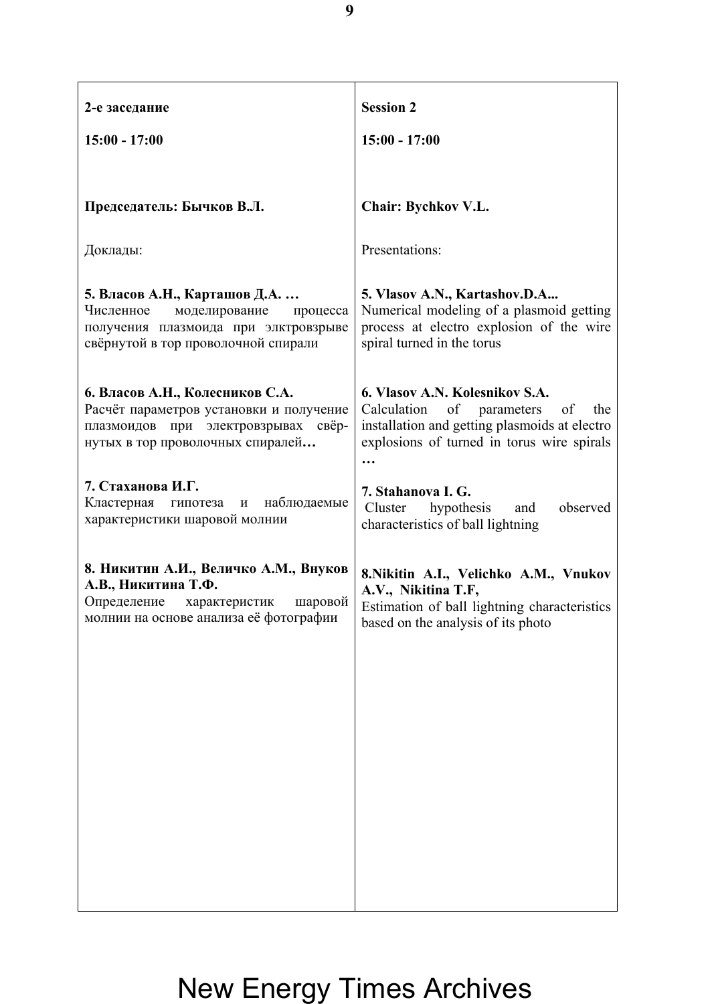| 2-е заседание                                                                                                                                          | <b>Session 2</b>                                                                                                                                                                   |
|--------------------------------------------------------------------------------------------------------------------------------------------------------|------------------------------------------------------------------------------------------------------------------------------------------------------------------------------------|
| $15:00 - 17:00$                                                                                                                                        | $15:00 - 17:00$                                                                                                                                                                    |
|                                                                                                                                                        |                                                                                                                                                                                    |
| Председатель: Бычков В.Л.                                                                                                                              | <b>Chair: Bychkov V.L.</b>                                                                                                                                                         |
| Доклады:                                                                                                                                               | Presentations:                                                                                                                                                                     |
| 5. Власов А.Н., Карташов Д.А.<br>Численное<br>моделирование<br>процесса<br>получения плазмоида при элктровзрыве<br>свёрнутой в тор проволочной спирали | 5. Vlasov A.N., Kartashov.D.A<br>Numerical modeling of a plasmoid getting<br>process at electro explosion of the wire<br>spiral turned in the torus                                |
| 6. Власов А.Н., Колесников С.А.<br>Расчёт параметров установки и получение<br>плазмоидов при электровзрывах свёр-<br>нутых в тор проволочных спиралей  | 6. Vlasov A.N. Kolesnikov S.A.<br>Calculation<br>of<br>parameters<br>of<br>the<br>installation and getting plasmoids at electro<br>explosions of turned in torus wire spirals<br>. |
| 7. Стаханова И.Г.<br>Кластерная<br>наблюдаемые<br>гипотеза<br>И<br>характеристики шаровой молнии                                                       | 7. Stahanova I. G.<br>hypothesis<br>observed<br>Cluster<br>and<br>characteristics of ball lightning                                                                                |
| 8. Никитин А.И., Величко А.М., Внуков<br>А.В., Никитина Т.Ф.<br>Определение характеристик<br>шаровой<br>молнии на основе анализа её фотографии         | 8. Nikitin A.I., Velichko A.M., Vnukov<br>A.V., Nikitina T.F,<br>Estimation of ball lightning characteristics<br>based on the analysis of its photo                                |
|                                                                                                                                                        |                                                                                                                                                                                    |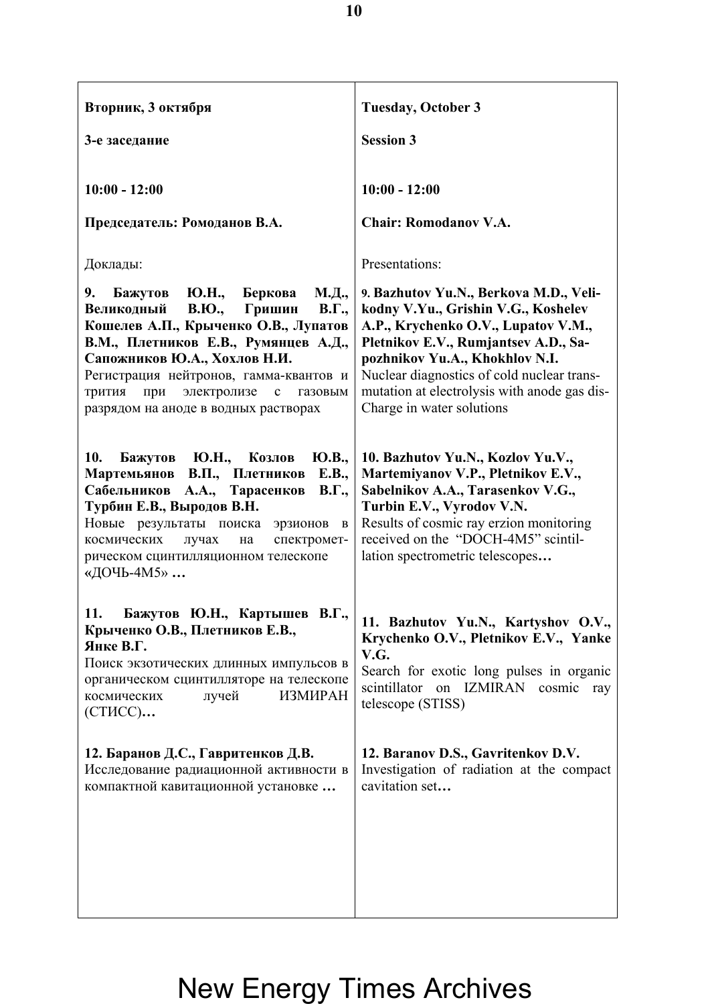| Вторник, 3 октября                                                                                                                                                                                                                                                                                                                                              | <b>Tuesday, October 3</b>                                                                                                                                                                                                                                                                                                 |
|-----------------------------------------------------------------------------------------------------------------------------------------------------------------------------------------------------------------------------------------------------------------------------------------------------------------------------------------------------------------|---------------------------------------------------------------------------------------------------------------------------------------------------------------------------------------------------------------------------------------------------------------------------------------------------------------------------|
| 3-е заседание                                                                                                                                                                                                                                                                                                                                                   | <b>Session 3</b>                                                                                                                                                                                                                                                                                                          |
| $10:00 - 12:00$                                                                                                                                                                                                                                                                                                                                                 | $10:00 - 12:00$                                                                                                                                                                                                                                                                                                           |
| Председатель: Ромоданов В.А.                                                                                                                                                                                                                                                                                                                                    | <b>Chair: Romodanov V.A.</b>                                                                                                                                                                                                                                                                                              |
| Доклады:                                                                                                                                                                                                                                                                                                                                                        | Presentations:                                                                                                                                                                                                                                                                                                            |
| М.Д.,<br>9.<br>Ю.Н.,<br>Беркова<br>Бажутов<br>Великодный<br>Гришин<br><b>B.IO.,</b><br>$B.\Gamma.,$<br>Кошелев А.П., Крыченко О.В., Лупатов<br>В.М., Плетников Е.В., Румянцев А.Д.,<br>Сапожников Ю.А., Хохлов Н.И.<br>Регистрация нейтронов, гамма-квантов и<br>при<br>электролизе<br>трития<br>$\mathbf c$<br>газовым<br>разрядом на аноде в водных растворах | 9. Bazhutov Yu.N., Berkova M.D., Veli-<br>kodny V.Yu., Grishin V.G., Koshelev<br>A.P., Krychenko O.V., Lupatov V.M.,<br>Pletnikov E.V., Rumjantsev A.D., Sa-<br>pozhnikov Yu.A., Khokhlov N.I.<br>Nuclear diagnostics of cold nuclear trans-<br>mutation at electrolysis with anode gas dis-<br>Charge in water solutions |
| 10.<br>Ю.Н., Козлов<br>Ю.В.,<br>Бажутов<br>В.П., Плетников<br>Мартемьянов<br>E.B.,<br>А.А., Тарасенков<br>$B.\Gamma.,$<br>Сабельников<br>Турбин Е.В., Выродов В.Н.<br>Новые результаты поиска<br>эрзионов<br>$\mathbf{B}$<br>спектромет-<br>космических<br>лучах<br>на<br>рическом сцинтилляционном телескопе<br>«ДОЧЬ-4М5»                                     | 10. Bazhutov Yu.N., Kozlov Yu.V.,<br>Martemiyanov V.P., Pletnikov E.V.,<br>Sabelnikov A.A., Tarasenkov V.G.,<br>Turbin E.V., Vyrodov V.N.<br>Results of cosmic ray erzion monitoring<br>received on the "DOCH-4M5" scintil-<br>lation spectrometric telescopes                                                            |
| Бажутов Ю.Н., Картышев В.Г.,<br>11.<br>Крыченко О.В., Плетников Е.В.,<br>Янке В.Г.<br>Поиск экзотических длинных импульсов в<br>органическом сцинтилляторе на телескопе<br><b>ИЗМИРАН</b><br>лучей<br>космических<br>(СТИСС)                                                                                                                                    | 11. Bazhutov Yu.N., Kartyshov O.V.,<br>Krychenko O.V., Pletnikov E.V., Yanke<br>V.G.<br>Search for exotic long pulses in organic<br>scintillator on IZMIRAN cosmic<br>ray<br>telescope (STISS)                                                                                                                            |
| 12. Баранов Д.С., Гавритенков Д.В.<br>Исследование радиационной активности в<br>компактной кавитационной установке                                                                                                                                                                                                                                              | 12. Baranov D.S., Gavritenkov D.V.<br>Investigation of radiation at the compact<br>cavitation set                                                                                                                                                                                                                         |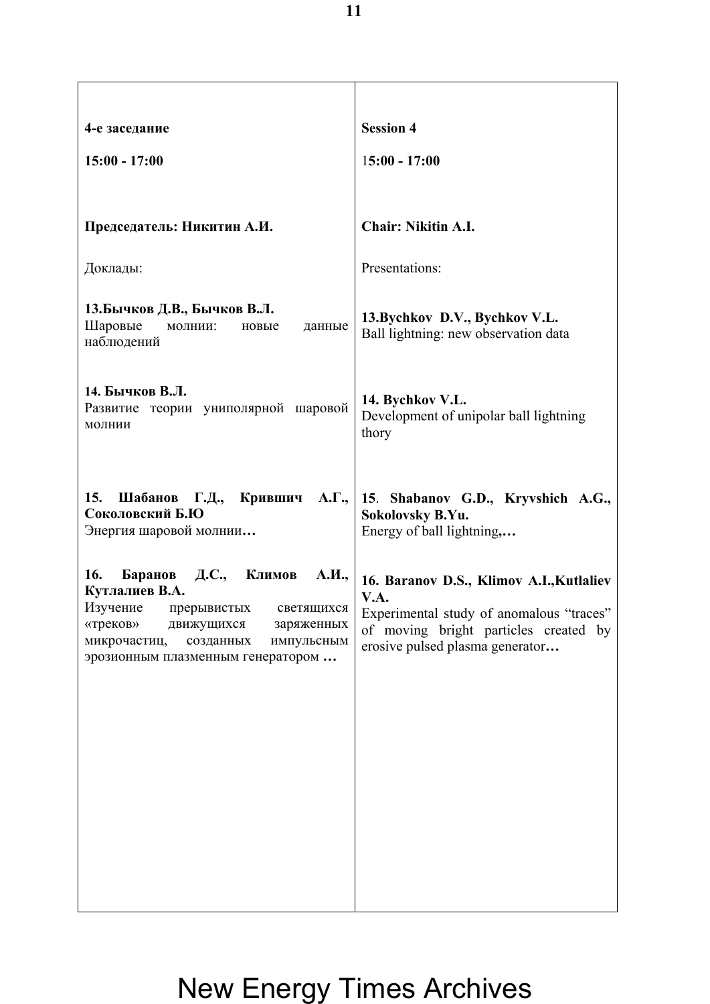| 4-е заседание                                                                                                                                                                                                                 | <b>Session 4</b>                                                                                                                                                         |
|-------------------------------------------------------------------------------------------------------------------------------------------------------------------------------------------------------------------------------|--------------------------------------------------------------------------------------------------------------------------------------------------------------------------|
| $15:00 - 17:00$                                                                                                                                                                                                               | $15:00 - 17:00$                                                                                                                                                          |
|                                                                                                                                                                                                                               |                                                                                                                                                                          |
| Председатель: Никитин А.И.                                                                                                                                                                                                    | <b>Chair: Nikitin A.I.</b>                                                                                                                                               |
| Доклады:                                                                                                                                                                                                                      | Presentations:                                                                                                                                                           |
| 13.Бычков Д.В., Бычков В.Л.<br>Шаровые<br>молнии:<br>новые<br>данные<br>наблюдений                                                                                                                                            | 13. Bychkov D.V., Bychkov V.L.<br>Ball lightning: new observation data                                                                                                   |
| 14. Бычков В.Л.<br>Развитие теории униполярной шаровой<br>молнии                                                                                                                                                              | 14. Bychkov V.L.<br>Development of unipolar ball lightning<br>thory                                                                                                      |
| Г.Д., Крившич А.Г.,<br>15.<br>Шабанов<br>Соколовский Б.Ю<br>Энергия шаровой молнии                                                                                                                                            | 15. Shabanov G.D., Kryvshich A.G.,<br>Sokolovsky B.Yu.<br>Energy of ball lightning,                                                                                      |
| 16.<br>Д.С.,<br>Баранов<br>Климов<br>А.И.,<br>Кутлалиев В.А.<br>Изучение<br>прерывистых<br>светящихся<br>«треков»<br>движущихся<br>заряженных<br>микрочастиц,<br>созданных<br>импульсным<br>эрозионным плазменным генератором | 16. Baranov D.S., Klimov A.I., Kutlaliev<br>V.A.<br>Experimental study of anomalous "traces"<br>of moving bright particles created by<br>erosive pulsed plasma generator |
|                                                                                                                                                                                                                               |                                                                                                                                                                          |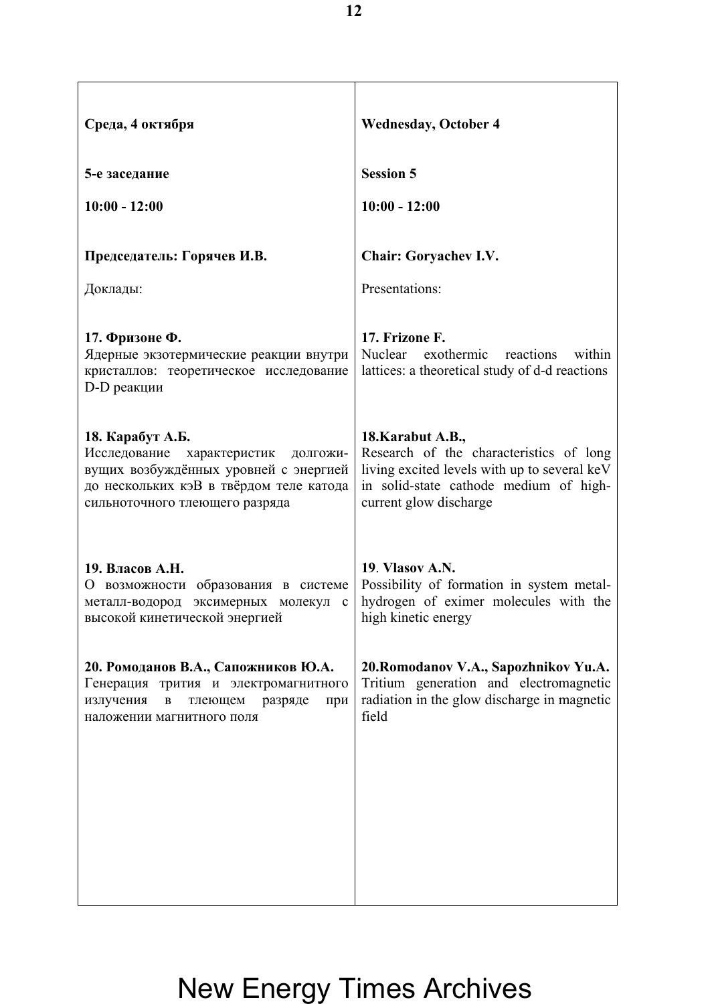| Среда, 4 октября                                                                                                                                                                    | <b>Wednesday, October 4</b>                                                                                                                                                      |
|-------------------------------------------------------------------------------------------------------------------------------------------------------------------------------------|----------------------------------------------------------------------------------------------------------------------------------------------------------------------------------|
| 5-е заседание                                                                                                                                                                       | <b>Session 5</b>                                                                                                                                                                 |
| $10:00 - 12:00$                                                                                                                                                                     | $10:00 - 12:00$                                                                                                                                                                  |
| Председатель: Горячев И.В.                                                                                                                                                          | <b>Chair: Goryachev I.V.</b>                                                                                                                                                     |
| Доклады:                                                                                                                                                                            | Presentations:                                                                                                                                                                   |
| 17. Фризоне Ф.<br>Ядерные экзотермические реакции внутри<br>кристаллов: теоретическое исследование<br>D-D реакции                                                                   | 17. Frizone F.<br>Nuclear<br>exothermic reactions<br>within<br>lattices: a theoretical study of d-d reactions                                                                    |
| 18. Карабут А.Б.<br>Исследование<br>характеристик<br>долгожи-<br>вущих возбуждённых уровней с энергией<br>до нескольких кэВ в твёрдом теле катода<br>сильноточного тлеющего разряда | 18. Karabut A.B.,<br>Research of the characteristics of long<br>living excited levels with up to several keV<br>in solid-state cathode medium of high-<br>current glow discharge |
| 19. Власов А.Н.<br>О возможности образования в системе<br>металл-водород эксимерных молекул с<br>высокой кинетической энергией                                                      | 19. Vlasov A.N.<br>Possibility of formation in system metal-<br>hydrogen of eximer molecules with the<br>high kinetic energy                                                     |
| 20. Ромоданов В.А., Сапожников Ю.А.<br>Генерация трития и электромагнитного<br>излучения<br>B<br>тлеющем<br>разряде<br>при<br>наложении магнитного поля                             | 20. Romodanov V.A., Sapozhnikov Yu.A.<br>Tritium generation and electromagnetic<br>radiation in the glow discharge in magnetic<br>field                                          |
|                                                                                                                                                                                     |                                                                                                                                                                                  |
|                                                                                                                                                                                     |                                                                                                                                                                                  |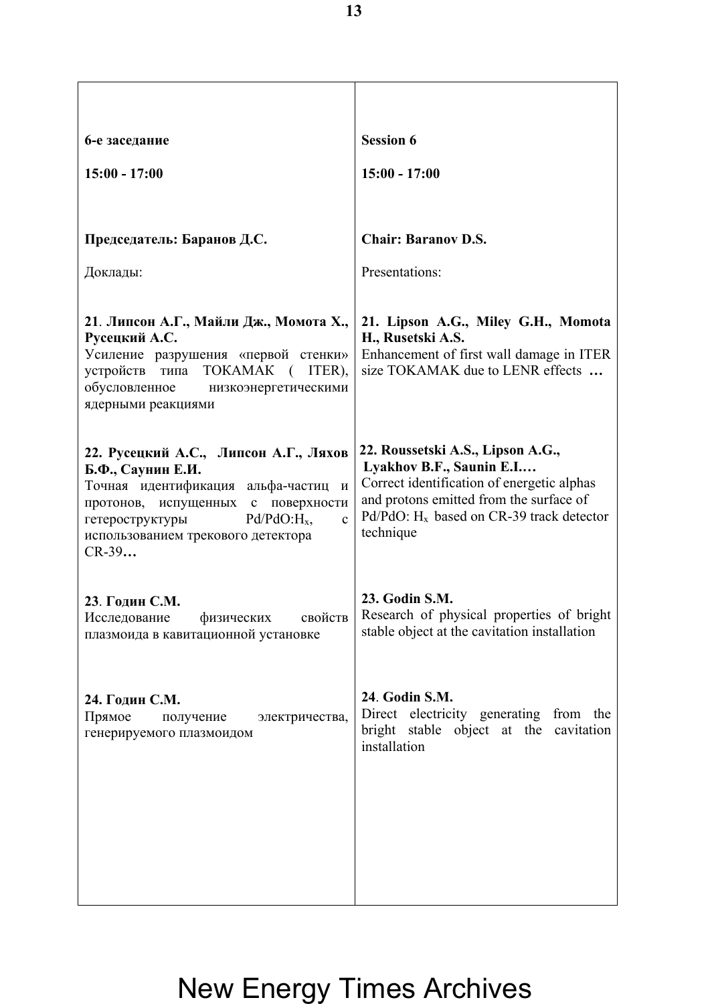| 6-е заседание                                                                                                                                                                                                                                                                             | <b>Session 6</b>                                                                                                                                                                                                               |
|-------------------------------------------------------------------------------------------------------------------------------------------------------------------------------------------------------------------------------------------------------------------------------------------|--------------------------------------------------------------------------------------------------------------------------------------------------------------------------------------------------------------------------------|
| $15:00 - 17:00$                                                                                                                                                                                                                                                                           | $15:00 - 17:00$                                                                                                                                                                                                                |
|                                                                                                                                                                                                                                                                                           |                                                                                                                                                                                                                                |
| Председатель: Баранов Д.С.                                                                                                                                                                                                                                                                | <b>Chair: Baranov D.S.</b>                                                                                                                                                                                                     |
| Доклады:                                                                                                                                                                                                                                                                                  | Presentations:                                                                                                                                                                                                                 |
| 21. Липсон А.Г., Майли Дж., Момота Х.,<br>Русецкий А.С.<br>Усиление разрушения «первой стенки»<br>типа TOKAMAK (ITER),<br>устройств<br>обусловленное<br>низкоэнергетическими<br>ядерными реакциями                                                                                        | 21. Lipson A.G., Miley G.H., Momota<br>H., Rusetski A.S.<br>Enhancement of first wall damage in ITER<br>size TOKAMAK due to LENR effects                                                                                       |
| 22. Русецкий А.С., Липсон А.Г., Ляхов<br>Б.Ф., Саунин Е.И.<br>Точная идентификация альфа-частиц<br>$\boldsymbol{\mathit{H}}$<br>протонов, испущенных<br>поверхности<br>$\mathbf{c}$<br>$Pd/PdO:H_{x}$<br>гетероструктуры<br>$\mathbf{c}$<br>использованием трекового детектора<br>$CR-39$ | 22. Roussetski A.S., Lipson A.G.,<br>Lyakhov B.F., Saunin E.I<br>Correct identification of energetic alphas<br>and protons emitted from the surface of<br>$Pd/PdO$ : H <sub>x</sub> based on CR-39 track detector<br>technique |
| 23. Годин С.М.<br>свойств<br>Исследование<br>физических<br>плазмоида в кавитационной установке                                                                                                                                                                                            | 23. Godin S.M.<br>Research of physical properties of bright<br>stable object at the cavitation installation                                                                                                                    |
| 24. Годин С.М.<br>Прямое<br>получение<br>электричества,<br>генерируемого плазмоидом                                                                                                                                                                                                       | 24. Godin S.M.<br>Direct electricity generating from the<br>bright stable object at the cavitation<br>installation                                                                                                             |
|                                                                                                                                                                                                                                                                                           |                                                                                                                                                                                                                                |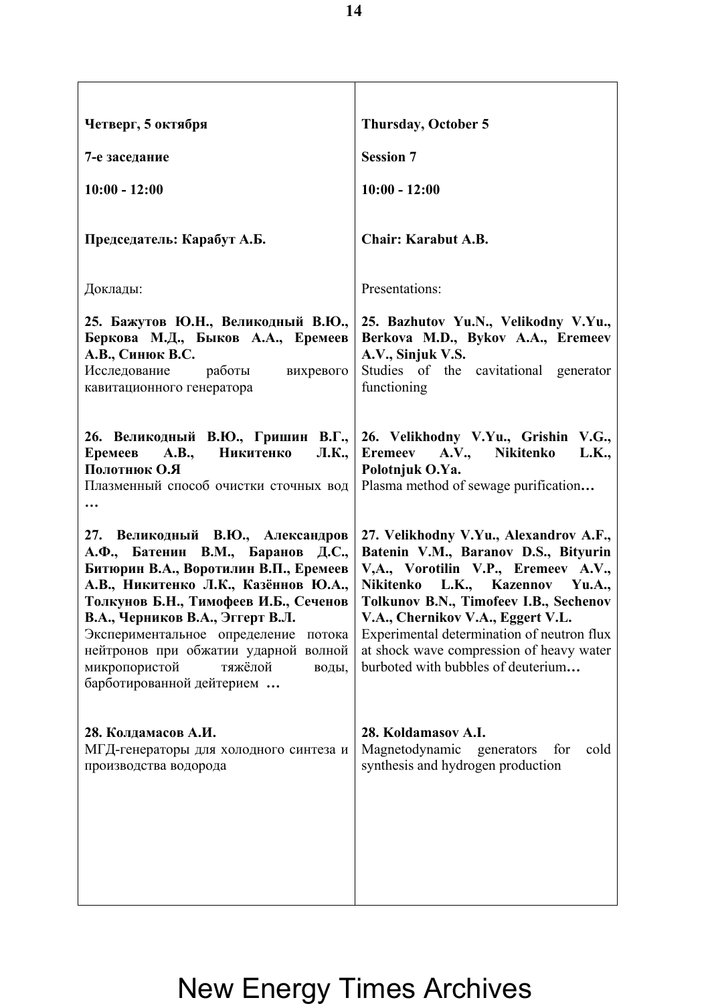| <b>Thursday, October 5</b>                                                                                                                                                                                                                                                                                                                                              |
|-------------------------------------------------------------------------------------------------------------------------------------------------------------------------------------------------------------------------------------------------------------------------------------------------------------------------------------------------------------------------|
| <b>Session 7</b>                                                                                                                                                                                                                                                                                                                                                        |
| $10:00 - 12:00$                                                                                                                                                                                                                                                                                                                                                         |
| <b>Chair: Karabut A.B.</b>                                                                                                                                                                                                                                                                                                                                              |
| Presentations:                                                                                                                                                                                                                                                                                                                                                          |
| 25. Bazhutov Yu.N., Velikodny V.Yu.,<br>Berkova M.D., Bykov A.A., Eremeev<br>A.V., Sinjuk V.S.<br>Studies of the cavitational generator<br>functioning                                                                                                                                                                                                                  |
| 26. Великодный В.Ю., Гришин В.Г.,<br>26. Velikhodny V.Yu., Grishin V.G.,<br>Eremeev A.V., Nikitenko<br>L.K.,<br>Polotnjuk O.Ya.<br>Plasma method of sewage purification                                                                                                                                                                                                 |
| 27. Velikhodny V.Yu., Alexandrov A.F.,<br>Batenin V.M., Baranov D.S., Bityurin<br>V,A., Vorotilin V.P., Eremeev A.V.,<br>Nikitenko L.K., Kazennov Yu.A.,<br>Tolkunov B.N., Timofeev I.B., Sechenov<br>V.A., Chernikov V.A., Eggert V.L.<br>Experimental determination of neutron flux<br>at shock wave compression of heavy water<br>burboted with bubbles of deuterium |
| 28. Koldamasov A.I.<br>Magnetodynamic<br>cold<br>generators<br>for<br>synthesis and hydrogen production                                                                                                                                                                                                                                                                 |
|                                                                                                                                                                                                                                                                                                                                                                         |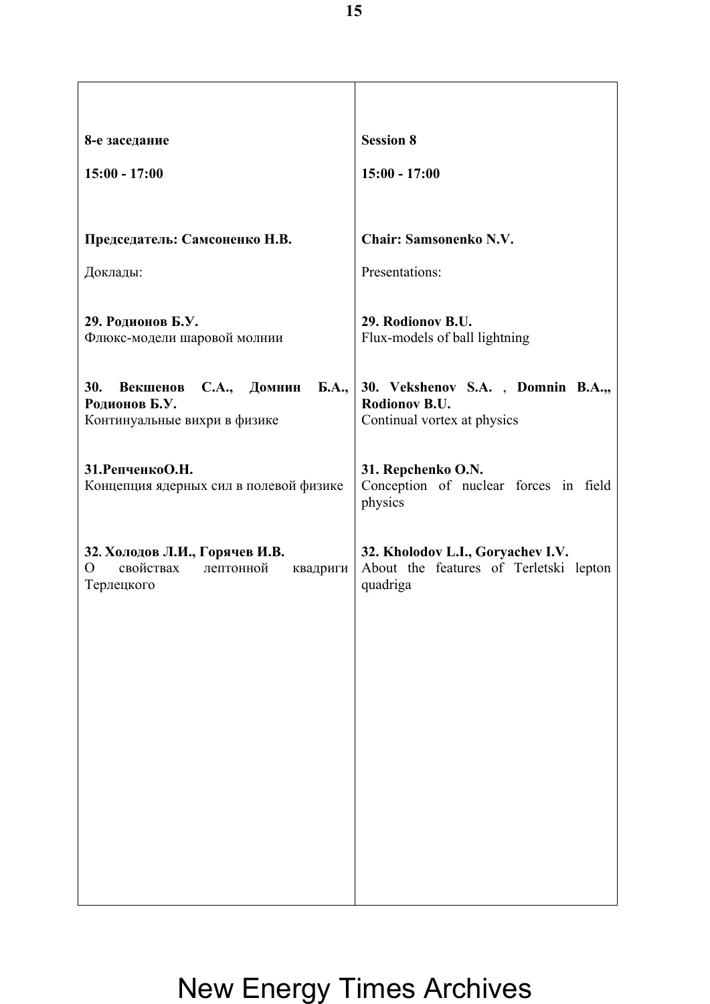| 8-е заседание                                                                                        | <b>Session 8</b>                                                                        |
|------------------------------------------------------------------------------------------------------|-----------------------------------------------------------------------------------------|
| $15:00 - 17:00$                                                                                      | $15:00 - 17:00$                                                                         |
| Председатель: Самсоненко Н.В.                                                                        | <b>Chair: Samsonenko N.V.</b>                                                           |
| Доклады:                                                                                             | Presentations:                                                                          |
| 29. Родионов Б.У.<br>Флюкс-модели шаровой молнии                                                     | 29. Rodionov B.U.<br>Flux-models of ball lightning                                      |
| 30.<br>Б.А.,<br>С.А., Домнин<br>Векшенов<br>Родионов Б.У.<br>Континуальные вихри в физике            | 30. Vekshenov S.A., Domnin B.A.,<br>Rodionov B.U.<br>Continual vortex at physics        |
| 31. РепченкоО. Н.<br>Концепция ядерных сил в полевой физике                                          | 31. Repchenko O.N.<br>Conception of nuclear forces in field<br>physics                  |
| 32. Холодов Л.И., Горячев И.В.<br>свойствах<br>$\overline{O}$<br>лептонной<br>квадриги<br>Терлецкого | 32. Kholodov L.I., Goryachev I.V.<br>About the features of Terletski lepton<br>quadriga |
|                                                                                                      |                                                                                         |
|                                                                                                      |                                                                                         |
|                                                                                                      |                                                                                         |
|                                                                                                      |                                                                                         |
|                                                                                                      |                                                                                         |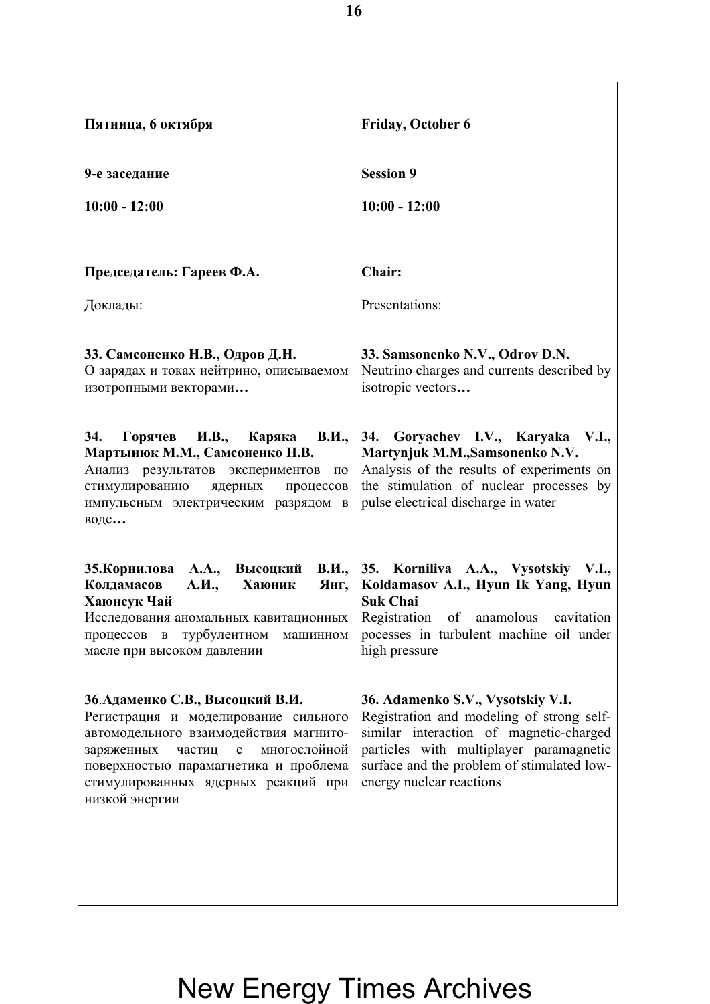| Пятница, 6 октября                                                                                                                                                                                                                                                           | <b>Friday, October 6</b>                                                                                                                                                                                                                       |
|------------------------------------------------------------------------------------------------------------------------------------------------------------------------------------------------------------------------------------------------------------------------------|------------------------------------------------------------------------------------------------------------------------------------------------------------------------------------------------------------------------------------------------|
| 9-е заседание                                                                                                                                                                                                                                                                | <b>Session 9</b>                                                                                                                                                                                                                               |
| $10:00 - 12:00$                                                                                                                                                                                                                                                              | $10:00 - 12:00$                                                                                                                                                                                                                                |
|                                                                                                                                                                                                                                                                              |                                                                                                                                                                                                                                                |
| Председатель: Гареев Ф.А.                                                                                                                                                                                                                                                    | Chair:                                                                                                                                                                                                                                         |
| Доклады:                                                                                                                                                                                                                                                                     | Presentations:                                                                                                                                                                                                                                 |
| 33. Самсоненко Н.В., Одров Д.Н.<br>О зарядах и токах нейтрино, описываемом<br>изотропными векторами                                                                                                                                                                          | 33. Samsonenko N.V., Odrov D.N.<br>Neutrino charges and currents described by<br>isotropic vectors                                                                                                                                             |
| 34.<br>И.В.,<br><b>B.II.,</b><br>Горячев<br>Каряка<br>Мартынюк М.М., Самсоненко Н.В.<br>Анализ результатов экспериментов<br>$\Pi 0$<br>стимулированию<br>ядерных процессов<br>импульсным электрическим разрядом в<br>воде                                                    | 34. Goryachev I.V., Karyaka V.I.,<br>Martynjuk M.M., Samsonenko N.V.<br>Analysis of the results of experiments on<br>the stimulation of nuclear processes by<br>pulse electrical discharge in water                                            |
| 35. Корнилова А.А., Высоцкий В.И.,<br>Колдамасов<br>А.И.,<br>Хаюник<br>Янг,<br>Хаюнсук Чай<br>Исследования аномальных кавитационных<br>турбулентном<br>процессов<br>$\, {\bf B}$<br>машинном<br>масле при высоком давлении                                                   | 35. Korniliva A.A., Vysotskiy V.I.,<br>Koldamasov A.I., Hyun Ik Yang, Hyun<br><b>Suk Chai</b><br>Registration of anamolous cavitation<br>pocesses in turbulent machine oil under<br>high pressure                                              |
| 36. Адаменко С.В., Высоцкий В.И.<br>Регистрация и моделирование сильного<br>автомодельного взаимодействия магнито-<br>многослойной<br>заряженных<br>частиц<br>$\mathbf{C}$<br>поверхностью парамагнетика и проблема<br>стимулированных ядерных реакций при<br>низкой энергии | 36. Adamenko S.V., Vysotskiy V.I.<br>Registration and modeling of strong self-<br>similar interaction of magnetic-charged<br>particles with multiplayer paramagnetic<br>surface and the problem of stimulated low-<br>energy nuclear reactions |
|                                                                                                                                                                                                                                                                              |                                                                                                                                                                                                                                                |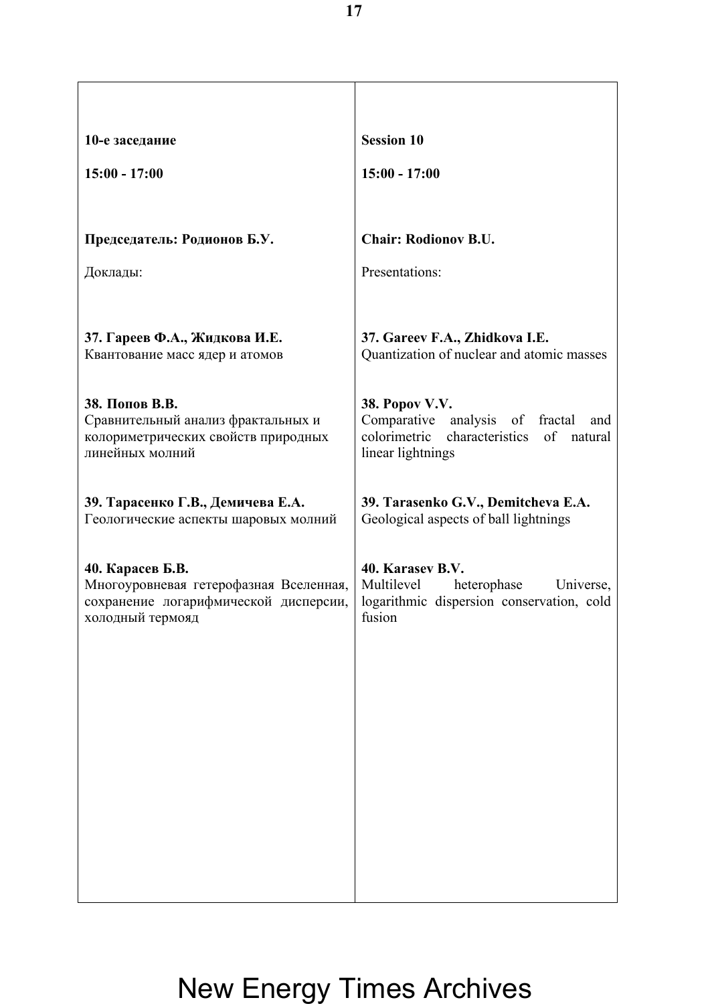| 10-е заседание                                                            | <b>Session 10</b>                                                                       |
|---------------------------------------------------------------------------|-----------------------------------------------------------------------------------------|
| $15:00 - 17:00$                                                           | $15:00 - 17:00$                                                                         |
|                                                                           |                                                                                         |
| Председатель: Родионов Б.У.                                               | <b>Chair: Rodionov B.U.</b>                                                             |
| Доклады:                                                                  | Presentations:                                                                          |
|                                                                           |                                                                                         |
| 37. Гареев Ф.А., Жидкова И.Е.                                             | 37. Gareev F.A., Zhidkova I.E.                                                          |
| Квантование масс ядер и атомов                                            | Quantization of nuclear and atomic masses                                               |
| 38. Попов В.В.                                                            | 38. Popov V.V.                                                                          |
| Сравнительный анализ фрактальных и<br>колориметрических свойств природных | Comparative<br>analysis of<br>fractal<br>and<br>colorimetric characteristics of natural |
| линейных молний                                                           | linear lightnings                                                                       |
|                                                                           |                                                                                         |
| 39. Тарасенко Г.В., Демичева Е.А.<br>Геологические аспекты шаровых молний | 39. Tarasenko G.V., Demitcheva E.A.<br>Geological aspects of ball lightnings            |
|                                                                           |                                                                                         |
| 40. Карасев Б.В.<br>Многоуровневая гетерофазная Вселенная,                | 40. Karasev B.V.<br>Multilevel<br>heterophase<br>Universe,                              |
| сохранение логарифмической дисперсии,<br>холодный термояд                 | logarithmic dispersion conservation, cold<br>fusion                                     |
|                                                                           |                                                                                         |
|                                                                           |                                                                                         |
|                                                                           |                                                                                         |
|                                                                           |                                                                                         |
|                                                                           |                                                                                         |
|                                                                           |                                                                                         |
|                                                                           |                                                                                         |
|                                                                           |                                                                                         |
|                                                                           |                                                                                         |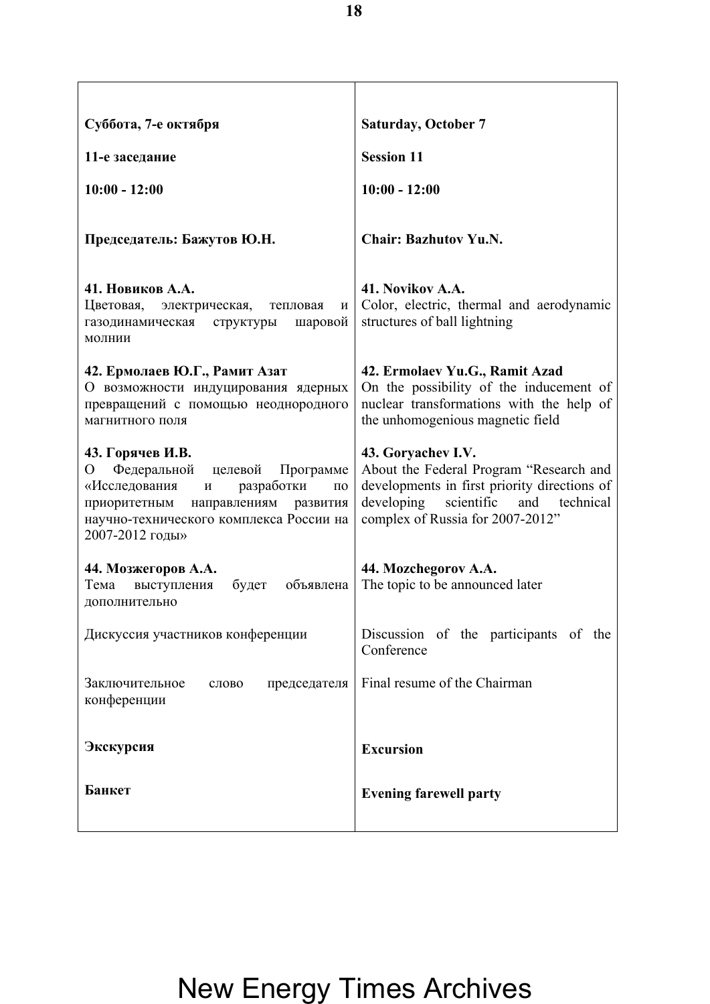| Суббота, 7-е октября                                                                                                                                                                                                          | <b>Saturday, October 7</b>                                                                                                                                                                        |
|-------------------------------------------------------------------------------------------------------------------------------------------------------------------------------------------------------------------------------|---------------------------------------------------------------------------------------------------------------------------------------------------------------------------------------------------|
| 11-е заседание                                                                                                                                                                                                                | <b>Session 11</b>                                                                                                                                                                                 |
| $10:00 - 12:00$                                                                                                                                                                                                               | $10:00 - 12:00$                                                                                                                                                                                   |
| Председатель: Бажутов Ю.Н.                                                                                                                                                                                                    | <b>Chair: Bazhutov Yu.N.</b>                                                                                                                                                                      |
| 41. Новиков А.А.<br>Цветовая, электрическая,<br>тепловая<br>И<br>структуры<br>шаровой<br>газодинамическая<br>молнии                                                                                                           | 41. Novikov A.A.<br>Color, electric, thermal and aerodynamic<br>structures of ball lightning                                                                                                      |
| 42. Ермолаев Ю.Г., Рамит Азат<br>О возможности индуцирования ядерных<br>превращений с помощью неоднородного<br>магнитного поля                                                                                                | 42. Ermolaev Yu.G., Ramit Azad<br>On the possibility of the inducement of<br>nuclear transformations with the help of<br>the unhomogenious magnetic field                                         |
| 43. Горячев И.В.<br>Федеральной целевой<br>O<br>Программе<br>«Исследования<br>разработки<br>И<br>$\Pi$ <sup>O</sup><br>приоритетным<br>направлениям<br>развития<br>научно-технического комплекса России на<br>2007-2012 годы» | 43. Goryachev I.V.<br>About the Federal Program "Research and<br>developments in first priority directions of<br>developing<br>scientific<br>and<br>technical<br>complex of Russia for 2007-2012" |
| 44. Мозжегоров А.А.<br>Тема<br>выступления<br>будет<br>объявлена<br>дополнительно                                                                                                                                             | 44. Mozchegorov A.A.<br>The topic to be announced later                                                                                                                                           |
| Дискуссия участников конференции                                                                                                                                                                                              | Discussion of the participants of the<br>Conference                                                                                                                                               |
| Заключительное<br>председателя<br>слово<br>конференции                                                                                                                                                                        | Final resume of the Chairman                                                                                                                                                                      |
| Экскурсия                                                                                                                                                                                                                     | <b>Excursion</b>                                                                                                                                                                                  |
| Банкет                                                                                                                                                                                                                        | <b>Evening farewell party</b>                                                                                                                                                                     |